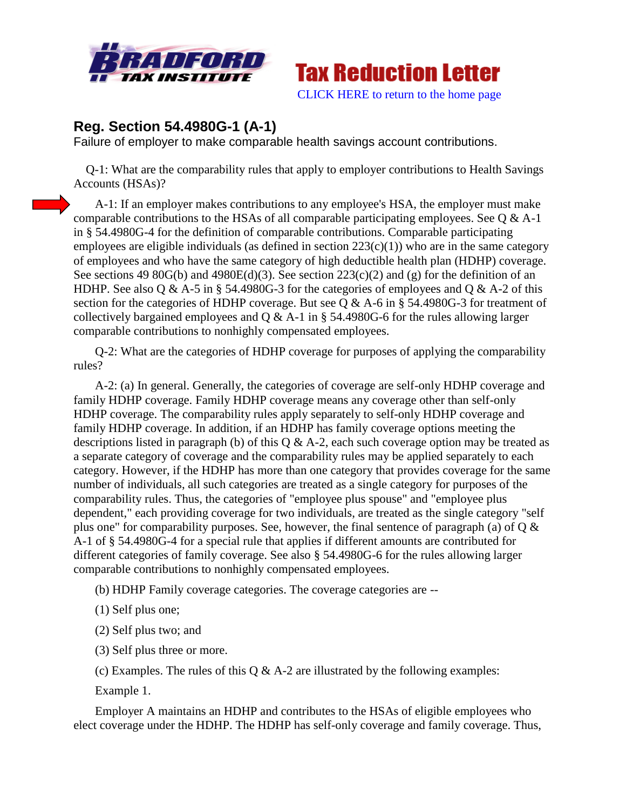



[CLICK HERE to return to the home page](http://bradfordtaxinstitute.com/index1.aspx)

## **Reg. Section 54.4980G-1 (A-1)**

Failure of employer to make comparable health savings account contributions.

 Q-1: What are the comparability rules that apply to employer contributions to Health Savings Accounts (HSAs)?

A-1: If an employer makes contributions to any employee's HSA, the employer must make comparable contributions to the HSAs of all comparable participating employees. See Q & A-1 in § 54.4980G-4 for the definition of comparable contributions. Comparable participating employees are eligible individuals (as defined in section  $223(c)(1)$ ) who are in the same category of employees and who have the same category of high deductible health plan (HDHP) coverage. See sections 49 80G(b) and 4980E(d)(3). See section  $223(c)(2)$  and (g) for the definition of an HDHP. See also Q & A-5 in § 54.4980G-3 for the categories of employees and Q & A-2 of this section for the categories of HDHP coverage. But see Q & A-6 in § 54.4980G-3 for treatment of collectively bargained employees and  $Q & A-1$  in § 54.4980G-6 for the rules allowing larger comparable contributions to nonhighly compensated employees.

Q-2: What are the categories of HDHP coverage for purposes of applying the comparability rules?

A-2: (a) In general. Generally, the categories of coverage are self-only HDHP coverage and family HDHP coverage. Family HDHP coverage means any coverage other than self-only HDHP coverage. The comparability rules apply separately to self-only HDHP coverage and family HDHP coverage. In addition, if an HDHP has family coverage options meeting the descriptions listed in paragraph (b) of this  $Q \& A-2$ , each such coverage option may be treated as a separate category of coverage and the comparability rules may be applied separately to each category. However, if the HDHP has more than one category that provides coverage for the same number of individuals, all such categories are treated as a single category for purposes of the comparability rules. Thus, the categories of "employee plus spouse" and "employee plus dependent," each providing coverage for two individuals, are treated as the single category "self plus one" for comparability purposes. See, however, the final sentence of paragraph (a) of  $Q \&$ A-1 of § 54.4980G-4 for a special rule that applies if different amounts are contributed for different categories of family coverage. See also § 54.4980G-6 for the rules allowing larger comparable contributions to nonhighly compensated employees.

(b) HDHP Family coverage categories. The coverage categories are --

(1) Self plus one;

(2) Self plus two; and

(3) Self plus three or more.

(c) Examples. The rules of this  $Q \& A-2$  are illustrated by the following examples:

Example 1.

Employer A maintains an HDHP and contributes to the HSAs of eligible employees who elect coverage under the HDHP. The HDHP has self-only coverage and family coverage. Thus,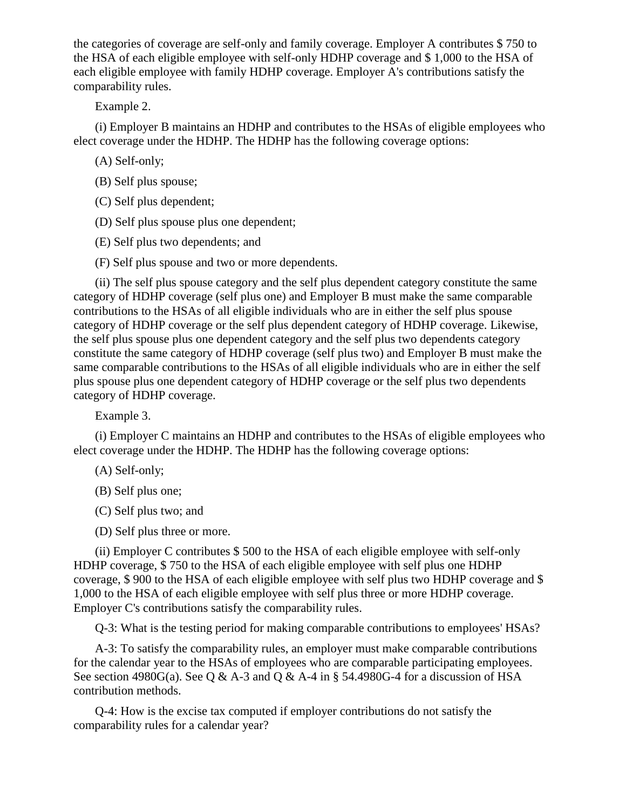the categories of coverage are self-only and family coverage. Employer A contributes \$ 750 to the HSA of each eligible employee with self-only HDHP coverage and \$ 1,000 to the HSA of each eligible employee with family HDHP coverage. Employer A's contributions satisfy the comparability rules.

Example 2.

(i) Employer B maintains an HDHP and contributes to the HSAs of eligible employees who elect coverage under the HDHP. The HDHP has the following coverage options:

(A) Self-only;

(B) Self plus spouse;

(C) Self plus dependent;

(D) Self plus spouse plus one dependent;

(E) Self plus two dependents; and

(F) Self plus spouse and two or more dependents.

(ii) The self plus spouse category and the self plus dependent category constitute the same category of HDHP coverage (self plus one) and Employer B must make the same comparable contributions to the HSAs of all eligible individuals who are in either the self plus spouse category of HDHP coverage or the self plus dependent category of HDHP coverage. Likewise, the self plus spouse plus one dependent category and the self plus two dependents category constitute the same category of HDHP coverage (self plus two) and Employer B must make the same comparable contributions to the HSAs of all eligible individuals who are in either the self plus spouse plus one dependent category of HDHP coverage or the self plus two dependents category of HDHP coverage.

Example 3.

(i) Employer C maintains an HDHP and contributes to the HSAs of eligible employees who elect coverage under the HDHP. The HDHP has the following coverage options:

(A) Self-only;

(B) Self plus one;

(C) Self plus two; and

(D) Self plus three or more.

(ii) Employer C contributes \$ 500 to the HSA of each eligible employee with self-only HDHP coverage, \$ 750 to the HSA of each eligible employee with self plus one HDHP coverage, \$ 900 to the HSA of each eligible employee with self plus two HDHP coverage and \$ 1,000 to the HSA of each eligible employee with self plus three or more HDHP coverage. Employer C's contributions satisfy the comparability rules.

Q-3: What is the testing period for making comparable contributions to employees' HSAs?

A-3: To satisfy the comparability rules, an employer must make comparable contributions for the calendar year to the HSAs of employees who are comparable participating employees. See section 4980G(a). See Q & A-3 and Q & A-4 in § 54.4980G-4 for a discussion of HSA contribution methods.

Q-4: How is the excise tax computed if employer contributions do not satisfy the comparability rules for a calendar year?